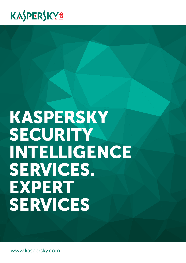## KASPERSKYS

# KASPERSKY SECURITY INTELLIGENCE SERVICES. EXPERT SERVICES

www.kaspersky.com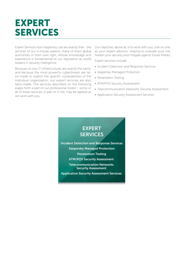### EXPERT SERVICES

Expert Services from Kaspersky Lab are exactly that – the services of our in-house experts, many of them global authorities in their own right, whose knowledge and experience is fundamental to our reputation as world leaders in security intelligence.

Because no two IT infrastructures are exactly the same, and because the most powerful cyberthreats are tailor-made to exploit the specific vulnerabilities of the individual organization, our expert services are also tailor-made. The services described on the following pages form a part of our professional toolkit – some or all of these services, in part or in full, may be applied as we work with you.

Our objective, above all, is to work with you, one on one, as your expert advisors, helping to evaluate your risk, harden your security and mitigate against future threats.

Expert services include:

- Incident Detection and Response Services
- Kaspersky Managed Protection
- Penetration Testing
- ATM/POS Security Assessment
- Telecommunication Networks Security Assessment
- Application Security Assessment Services



Incident Detection and Response Services Kaspersky Managed Protection Penetration Testing ATM/POS Security Assessment Telecommunication Networks Security Assessment

Application Security Assessment Services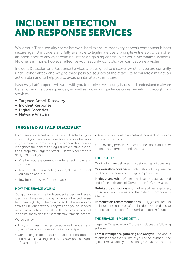### INCIDENT DETECTION AND RESPONSE SERVICES

While your IT and security specialists work hard to ensure that every network component is both secure against intruders and fully available to legitimate users, a single vulnerability can offer an open door to any cybercriminal intent on gaining control over your information systems. No one is immune: however effective your security controls, you can become a victim.

Incident Detection and Response Services are designed to discover whether you are currently under cyber-attack and why, to trace possible sources of the attack, to formulate a mitigation action plan and to help you to avoid similar attacks in future.

Kaspersky Lab's experts will work with you to resolve live security issues and understand malware behavior and its consequences, as well as providing guidance on remediation, through two services:

- ∞ Targeted Attack Discovery
- ∞ Incident Response
- ∞ Digital Forensics
- ∞ Malware Analysis

#### TARGETED ATTACK DISCOVERY

If you are concerned about attacks directed at your industry, if you have noted possible suspicious behavior in your own systems, or if your organization simply recognizes the benefits of regular preventative inspections, Kaspersky Targeted Attack Discovery services are designed to tell you:

- Whether you are currently under attack, how, and by whom
- How this attack is affecting your systems, and what you can do about it
- How best to prevent further attacks

#### HOW THE SERVICE WORKS

Our globally-recognized independent experts will reveal, identify and analyze ongoing incidents, advanced persistent threats (APTs), cybercriminal and cyber-espionage activities in your network. They will help you to uncover malicious activities, understand the possible sources of incidents, and to plan the most effective remedial actions.

We do this by:

- Analyzing threat intelligence sources to understand your organization's specific threat landscape
- Conducting in-depth scans of your IT infrastructure and data (such as log files) to uncover possible signs of compromise
- Analyzing your outgoing network connections for any suspicious activity
- Uncovering probable sources of the attack, and other potentially compromised systems

#### THE RESULTS

Our findings are delivered in a detailed report covering:

**Our overall discoveries** – confirmation of the presence or absence of compromise signs in your network

In-depth analysis – of threat intelligence data gathered and of the Indicators of Compromise (IoCs) revealed.

**Detailed descriptions** – of vulnerabilities exploited, possible attack sources, and the network components affected.

Remediation recommendations - suggested steps to mitigate consequences of the incident revealed and to protect your resources from similar attacks in future.

#### THE SERVICE IN MORE DETAIL

Kaspersky Targeted Attack Discovery includes the following activities:

Threat intelligence gathering and analysis. The goal is to obtain a snapshot in time of your attack surface – the cybercriminal and cyber-espionage threats and attacks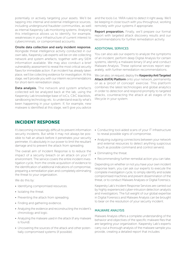potentially or actively targeting your assets. We'll be tapping into internal and external intelligence sources, including underground fraudster communities, as well as internal Kaspersky Lab monitoring systems. Analysing this intelligence allows us to identify, for example, weaknesses in your infrastructure of current interest to cybercriminals, or compromised accounts.

#### Onsite data collection and early incident response.

Alongside threat intelligence activity conducted in our own labs, Kaspersky Lab experts will be on site collecting network and system artefacts, together with any SIEM information available. We may also conduct a brief vulnerability assessment to reveal the most critical security flaws for immediate action. If an incident has already taken place, we'll be collecting evidence for investigation. At this stage, we'll provide you with our interim recommendations for short-term remediation steps.

Data analysis. The network and system artefacts collected will be analyzed back at the lab, using the Kaspersky Lab knowledge base of IoCs, C&C blacklists, sandboxing technology etc. to understand exactly what's been happening in your system. If, for example, new malware is identified at this stage, we'll give you advice

and the tools (i.e. YARA rules) to detect it right away. We'll be keeping in close touch with you throughout, working remotely with your systems if appropriate.

Report preparation. Finally, we'll prepare our formal report with targeted attack discovery results and our recommendations for further remediation activity.

#### ADDITIONAL SERVICES

You can also ask our experts to analyze the symptoms of an incident, perform deep Digital Analysis for certain systems, identify a malware binary (if any) and conduct Malware Analysis. These optional services report separately, with further remediation recommendations.

We can also, on request, deploy the Kaspersky Anti Targeted Attack (KATA) Platform onto your network, permanently or as a 'proof of concept' exercise. This platform combines the latest technologies and global analytics in order to detection and respond promptly to targeted attacks, counteracting the attack at all stages of its lifecycle in your system.

#### INCIDENT RESPONSE

It's becoming increasingly difficult to prevent information security incidents. But while it may not always be possible to halt an attack before it penetrates your security perimeter, it's absolutely in our power to limit the resultant damage and to prevent the attack from spreading.

The overall aim of Incident Response is to reduce the impact of a security breach or an attack on your IT environment. The service covers the entire incident investigation cycle, from the onsite acquisition of evidence to the identification of additional indications of compromise, preparing a remediation plan and completely eliminating the threat to your organization.

We do this by:

- Identifying compromised resources.
- Isolating the threat.
- Preventing the attack from spreading.
- Finding and gathering evidence.
- Analyzing the evidence and reconstructing the incident's chronology and logic.
- Analyzing the malware used in the attack (if any malware is found).
- Uncovering the sources of the attack and other potentially compromised systems (if possible).
- Conducting tool-aided scans of your IT infrastructure to reveal possible signs of compromise.
- Analyzing outgoing connections between your network and external resources to detect anything suspicious (such as possible command and control servers).
- Eliminating the threat.
- Recommending further remedial action you can take.

Depending on whether or not you have your own incident response team, you can ask our experts to execute the complete investigation cycle, to simply identify and isolate compromised machines and prevent dissemination of the threat, or to conduct Malware Analyses or Digital Forensics.

Kaspersky Lab's Incident Response Services are carried out by highly experienced cyber-intrusion detection analysts and investigators. The full weight of our global expertise in Digital Forensics and Malware Analysis can be brought to bear on the resolution of your security incident.

#### MALWARE ANALYSIS

Malware Analysis offers a complete understanding of the behavior and objectives of the specific malware files that are targeting your organization. Kaspersky Lab's experts carry out a thorough analysis of the malware sample you provide, creating a detailed report that includes: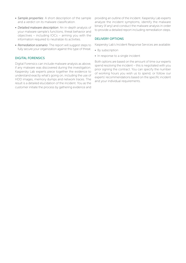- *• Sample properties*: A short description of the sample and a verdict on its malware classification.
- *• Detailed malware description*: An in-depth analysis of your malware sample's functions, threat behavior and objectives – including IOCs – arming you with the information required to neutralize its activities.
- *• Remediation scenario*: The report will suggest steps to fully secure your organization against this type of threat.

#### DIGITAL FORENSICS

Digital Forensics can include malware analysis as above, if any malware was discovered during the investigation. Kaspersky Lab experts piece together the evidence to understand exactly what's going on, including the use of HDD images, memory dumps and network traces. The result is a detailed elucidation of the incident. You as the customer initiate the process by gathering evidence and providing an outline of the incident. Kaspersky Lab experts analyze the incident symptoms, identify the malware binary (if any) and conduct the malware analysis in order to provide a detailed report including remediation steps.

#### DELIVERY OPTIONS

Kaspersky Lab's Incident Response Services are available:

- By subscription
- In response to a single incident

Both options are based on the amount of time our experts spend resolving the incident – this is negotiated with you prior signing the contract. You can specify the number of working hours you wish us to spend, or follow our experts' recommendations based on the specific incident and your individual requirements.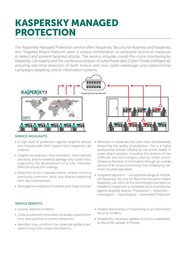### KASPERSKY MANAGED PROTECTION

The Kaspersky Managed Protection service offers Kaspersky Security for Business and Kaspersky Anti Targeted Attack Platform users a unique combination of advanced technical measures to detect and prevent targeted attacks. The service includes round-the-clock monitoring by Kaspersky Lab experts and the continuous analysis of cyberthreat data (Cyber-Threat Intelligence), ensuring real-time detection of both known and new cyber-espionage and cybercriminal campaigns targeting critical information systems.



#### SERVICE HIGHLIGHTS

- A high level of protection against targeted attacks and malware with 24x7 support from Kaspersky Lab analysts.
- Insights into attackers, their motivation, their methods and tools, and the potential damage they could inflict, supporting the development of a fully informed, effective protection strategy.
- Detection of non-malware attacks, attacks involving previously unknown tools and attacks exploiting zero-day vulnerabilities.
- Retrospective analysis of incidents and threat hunting.
- Reduction in overall security costs while simultaneously enhancing the quality of protection. This is a highly professional service offered by the world leader in cyber-attack analysis, including the analysis of the methods and technologies used by threat actors. Obtaining this level of information through an outside service is far more economical than employing narrowly focused specialists.
- Integrated approach our extensive range of integrated Kaspersky Security for Business solutions means Kaspersky Lab offers all the technologies and services needed to implement a complete cycle of protection against targeted attacks: Preparation — Detection — Investigation — Data Analysis — Automated Protection.

#### SERVICE BENEFITS

- Quickly detects incidents.
- Collects sufficient information to enable classification (into false positive or correct detection).
- Identifies how common the collected artifacts are, determining how unique the attack is.
- Initiates the process of responding to an information security incident.
- Initiates any necessary updates to antivirus databases, to block the spread of threats.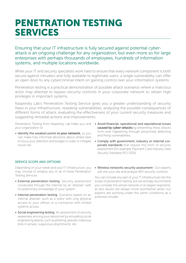### PENETRATION TESTING SERVICES

Ensuring that your IT infrastructure is fully secured against potential cyberattack is an ongoing challenge for any organization, but even more so for large enterprises with perhaps thousands of employees, hundreds of information systems, and multiple locations worldwide.

While your IT and security specialists work hard to ensure that every network component is both secure against intruders and fully available to legitimate users, a single vulnerability can offer an open door to any cybercriminal intent on gaining control over your information systems.

Penetration testing is a practical demonstration of possible attack scenarios where a malicious actor may attempt to bypass security controls in your corporate network to obtain high privileges in important systems.

Kaspersky Lab's Penetration Testing Service gives you a greater understanding of security flaws in your infrastructure, revealing vulnerabilities, analyzing the possible consequences of different forms of attack, evaluating the effectiveness of your current security measures and suggesting remedial actions and improvements.

your organization to:

- Identify the weakest points in your network, so you can make fully informed decisions about where best to focus your attention and budget in order to mitigate future risk.
- Penetration Testing from Kaspersky Lab helps you and Avoid financial, operational and reputational losses caused by cyber-attacks by preventing these attacks from ever happening through proactively detecting and fixing vulnerabilities.
	- Comply with government, industry or internal corporate standards that require this form of security assessment (for example Payment Card Industry Data Security Standard (PCI DSS)).

#### SERVICE SCOPE AND OPTIONS

Depending on your needs and your IT infrastructure, you may choose to employ any or all of these Penetration Testing Services:

- External penetration testing: Security assessment conducted through the Internet by an 'attacker' with no preliminary knowledge of your system.
- Internal penetration testing: Scenarios based on an internal attacker, such as a visitor with only physical access to your offices or a contractor with limited systems access.
- Social engineering testing: An assessment of security awareness among your personnel by emulating social engineering attacks, such as phishing, pseudo-malicious links in emails, suspicious attachments, etc.

• Wireless networks security assessment: Our experts will visit your site and analyze WiFi security controls.

You can include any part of your IT infrastructure into the scope of penetration testing, but we strongly recommend you consider the whole network or its largest segments, as test results are always more worthwhile when our experts are working under the same conditions as a potential intruder.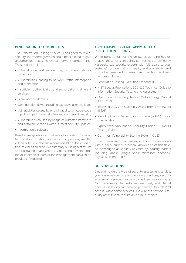#### PENETRATION TESTING RESULTS

The Penetration Testing Service is designed to reveal security shortcomings which could be exploited to gain unauthorized access to critical network components. These could include:

- Vulnerable network architecture, insufficient network protection
- Vulnerabilities leading to network traffic interception and redirection
- Insufficient authentication and authorization in different services
- Weak user credentials
- Configuration flaws, including excessive user privileges
- Vulnerabilities caused by errors in application code (code injections, path traversal, client-side vulnerabilities, etc.)
- Vulnerabilities caused by usage of outdated hardware and software versions without latest security updates
- Information disclosure

Results are given in a final report including detailed technical information on the testing process, results, vulnerabilities revealed and recommendations for remediation, as well as an executive summary outlining test results and illustrating attack vectors. Videos and presentations for your technical team or top management can also be provided if required.

#### ABOUT KASPERSKY LAB'S APPROACH TO PENETRATION TESTING

While penetration testing emulates genuine hacker attacks, these tests are tightly controlled; performed by Kaspersky Lab security experts with full regard to your systems' confidentiality, integrity and availability, and in strict adherence to international standards and best practices including:

- Penetration Testing Execution Standard (PTES)
- NIST Special Publications 800-115 Technical Guide to Information Security Testing and Assessment
- Open Source Security Testing Methodology Manual (OSSTMM)
- Information Systems Security Assessment Framework (ISSAF)
- Web Application Security Consortium (WASC) Threat Classification
- Open Web Application Security Project (OWASP) Testing Guide
- Common Vulnerability Scoring System (CVSS)

Project team members are experienced professionals with a deep, current practical knowledge of this field, acknowledged as security advisors by industry leaders including Oracle, Google, Apple, Microsoft, Facebook, PayPal, Siemens and SAP.

#### DELIVERY OPTIONS:

Depending on the type of security assessment service, your systems specifics and working practices, security assessment services can be provided remotely or onsite. Most services can be performed rremotely, and internal penetration testing can even be performed through VPN access, while some services (like wireless networks security assessment) require an onsite presence.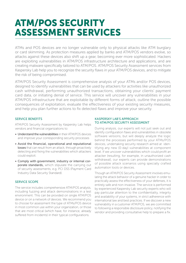### ATM/POS SECURITY ASSESSMENT SERVICES

ATMs and POS devices are no longer vulnerable only to physical attacks like ATM burglary or card skimming. As protection measures applied by banks and ATM/POS vendors evolve, so attacks against these devices also shift up a gear, becoming ever more sophisticated. Hackers are exploiting vulnerabilities in ATM/POS infrastructure architecture and applications, and are creating malware specifically tailored to ATM/POS. ATM/POS Security Assessment services from Kaspersky Lab help you to recognize the security flaws in your ATM/POS devices, and to mitigate the risk of being compromised.

ATM/POS Security Assessment is comprehensive analysis of your ATMs and/or POS devices, designed to identify vulnerabilities that can be used by attackers for activities like unauthorized cash withdrawal, performing unauthorized transactions, obtaining your clients' payment card data, or initiating denial of service. This service will uncover any vulnerabilities in your ATM/POS infrastructure that are exploitable by different forms of attack, outline the possible consequences of exploitation, evaluate the effectiveness of your existing security measures, and help you plan further actions to fix detected flaws and improve your security.

#### SERVICE BENEFITS

ATM/POS Security Assessment by Kaspersky Lab helps vendors and financial organizations to:

- Understand the vulnerabilities in their ATM/POS devices and improve your corresponding security processes
- Avoid the financial, operational and reputational losses that can result from an attack, through proactively detecting and fixing the vulnerabilities which attackers could exploit.
- Comply with government, industry or internal corporate standards, which stipulate the carrying out of security assessments, e.g. PCI DSS (Payment Card Industry Data Security Standard).

#### SERVICE SCOPE

The service includes comprehensive ATM/POS analysis, including fuzzing and attack demonstrations in a test environment. This can be provided on single ATM/POS device or on a network of devices. We recommend you to choose for assessment the type of ATMs/POS device in most common use within your organization, or those that are most critical (which have, for instance, already suffered from incidents) in their typical configurations.

#### KASPERSKY LAB'S APPROACH TO ATM/POS SECURITY ASSESSMENT

During analysis, our experts will not just seek out and identify configuration flaws and vulnerabilities in obsolete software versions, but will deeply analyze the logic behind the processes performed by your ATMs/POS devices, undertaking security research aimed at identifying any new (0-day) vulnerabilities at component level. If we uncover vulnerabilities which could profit an attacker (resulting, for example, in unauthorized cash withdrawal), our experts can provide demonstrations of possible attack scenarios using specially crafted automation tools or devices.

Though an ATM/POS Security Assessment involves emulating the attack behavior of a genuine hacker in order to practically assess the effectiveness of your defenses, it is entirely safe and non-invasive. The service is performed by experienced Kaspersky Lab security experts who will pay particular attention to the confidentiality, integrity and availability of your systems, in strict adherence with international law and best practices. If we discover a new vulnerability in a customer ATM/POS, we are committed to following a responsible disclosure policy, notifying the vendor and providing consultative help to prepare a fix.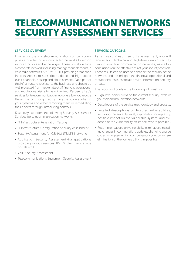### TELECOMMUNICATION NETWORKS SECURITY ASSESSMENT SERVICES

#### SERVICES OVERVIEW

IT infrastructure of a telecommunication company comprises a number of interconnected networks based on various functions and technologies. These typically include a corporate network including management elements, a core radio network (GSM/UMTS/LTE), providing broadband Internet Access to subscribers, dedicated high-speed trunk channels, hosting and cloud services. Each part of this infrastructure is critical to the business, and should be well protected from hacker attacks if financial, operational and reputational risk is to be minimized. Kaspersky Lab's services for telecommunication networks allow you reduce these risks by through recognizing the vulnerabilities in your systems and either removing them or remediating their effects through introducing controls.

Kaspersky Lab offers the following Security Assessment Services for telecommunication networks:

- IT Infrastructure Penetration Testing
- IT Infrastructure Configuration Security Assessment
- Security Assessment for GSM/UMTS/LTE Networks
- Application Security Assessment (for applications providing various services: IP- TV, client self-service portals etc.)
- VoIP Security Assessment
- Telecommunications Equipment Security Assessment

#### SERVICES OUTCOME

As a result of each security assessment, you will receive both technical and high-level views of security flaws in your telecommunication networks, as well as conclusions on the effectiveness of your security controls. These results can be used to enhance the security of the network, and this mitigate the financial, operational and reputational risks associated with information security threats.

The report will contain the following information:

- High-level conclusions on the current security levels of your telecommunication networks
- Descriptions of the service methodology and process.
- Detailed descriptions of detected vulnerabilities, including the severity level, exploitation complexity, possible impact on the vulnerable system, and evidence of the vulnerability existence (where possible).
- Recommendations on vulnerability elimination, including changes in configuration, updates, changing source codes, or implementing compensatory controls where elimination of the vulnerability is impossible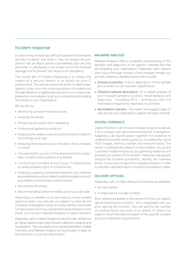#### Incident response

It's becoming increasingly difficult to prevent information security incidents. But while it may not always be possible to halt an attack before it penetrates your security perimeter, it's absolutely in our power to limit the resultant damage and to prevent the attack from spreading.

The overall aim of Incident Response is to reduce the impact of a security breach or an attack on your IT environment. The service covers the entire incident investigation cycle, from the onsite acquisition of evidence to the identification of additional indications of compromise, preparing a remediation plan and completely eliminating the threat to your organization.

We do this by:

- Identifying compromised resources.
- Isolating the threat.
- Preventing the attack from spreading.
- Finding and gathering evidence.
- Analyzing the evidence and reconstructing the incident's chronology and logic.
- Analyzing the malware used in the attack (if any malware is found).
- Uncovering the sources of the attack and other potentially compromised systems (if possible).
- Conducting tool-aided scans of your IT infrastructure to reveal possible signs of compromise.
- Analyzing outgoing connections between your network and external resources to detect anything suspicious (such as possible command and control servers).
- Eliminating the threat.
- Recommending further remedial action you can take.

Depending on whether or not you have your own incident response team, you can ask our experts to execute the complete investigation cycle, to simply identify and isolate compromised machines and prevent dissemination of the threat, or to conduct Malware Analyses or Digital Forensics.

Kaspersky Lab's Incident Response Services are carried out by highly experienced cyber-intrusion detection analysts and investigators. The full weight of our global expertise in Digital Forensics and Malware Analysis can be brought to bear on the resolution of your security incident.

#### MALWARE ANALYSIS

Malware Analysis offers a complete understanding of the behavior and objectives of the specific malware files that are targeting your organization. Kaspersky Lab's experts carry out a thorough analysis of the malware sample you provide, creating a detailed report that includes:

- *• Sample properties*: A short description of the sample and a verdict on its malware classification.
- *• Detailed malware description*: An in-depth analysis of your malware sample's functions, threat behavior and objectives – including IOCs – arming you with the information required to neutralize its activities.
- *• Remediation scenario*: The report will suggest steps to fully secure your organization against this type of threat.

#### DIGITAL FORENSICS

Digital Forensics can include malware analysis as above, if any malware was discovered during the investigation. Kaspersky Lab experts piece together the evidence to understand exactly what's going on, including the use of HDD images, memory dumps and network traces. The result is a detailed elucidation of the incident. You as the customer initiate the process by gathering evidence and providing an outline of the incident. Kaspersky Lab experts analyze the incident symptoms, identify the malware binary (if any) and conduct the malware analysis in order to provide a detailed report including remediation steps.

#### DELIVERY OPTIONS

Kaspersky Lab's Incident Response Services are available:

- By subscription
- In response to a single incident

Both options are based on the amount of time our experts spend resolving the incident – this is negotiated with you prior signing the contract. You can specify the number of working hours you wish us to spend, or follow our experts' recommendations based on the specific incident and your individual requirements.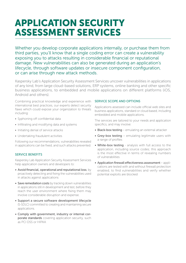### APPLICATION SECURITY ASSESSMENT SERVICES

Whether you develop corporate applications internally, or purchase them from third parties, you'll know that a single coding error can create a vulnerability exposing you to attacks resulting in considerable financial or reputational damage. New vulnerabilities can also be generated during an application's lifecycle, through software updates or insecure component configuration, or can arise through new attack methods.

Kaspersky Lab's Application Security Assessment Services uncover vulnerabilities in applications of any kind, from large cloud-based solutions, ERP systems, online banking and other specific business applications, to embedded and mobile applications on different platforms (iOS, Android and others).

Combining practical knowledge and experience with international best practices, our experts detect security flaws which could expose your organization to threats including:

- Syphoning off confidential data
- Infiltrating and modifying data and systems
- Initiating denial of service attacks
- Undertaking fraudulent activities

Following our recommendations, vulnerabilities revealed in applications can be fixed, and such attacks prevented.

#### SERVICE BENEFITS

Kaspersky Lab Application Security Assessment Services help application owners and developers to:

- Avoid financial, operational and reputational loss, by proactively detecting and fixing the vulnerabilities used in attacks against applications
- Save remediation costs by tracking down vulnerabilities in applications still in development and test, before they reach the user environment where fixing them may involve considerable disruption and expense.
- Support a secure software development lifecycle (S-SDLC) committed to creating and maintaining secure applications.
- Comply with government, industry or internal corporate standards covering application security, such as PCI DSS or HIPAA

#### SERVICE SCOPE AND OPTIONS

Applications assessed can include official web sites and business applications, standard or cloud based, including embedded and mobile applications.

The services are tailored to your needs and application specifics, and may involve:

- Black-box testing emulating an external attacker
- Grey-box testing emulating legitimate users with a range of profiles
- White-box testing analysis with full access to the application, including source codes; this approach is the most effective in terms of revealing numbers of vulnerabilities
- Application firewall effectiveness assessment applications are tested with and without firewall protection enabled, to find vulnerabilities and verify whether potential exploits are blocked